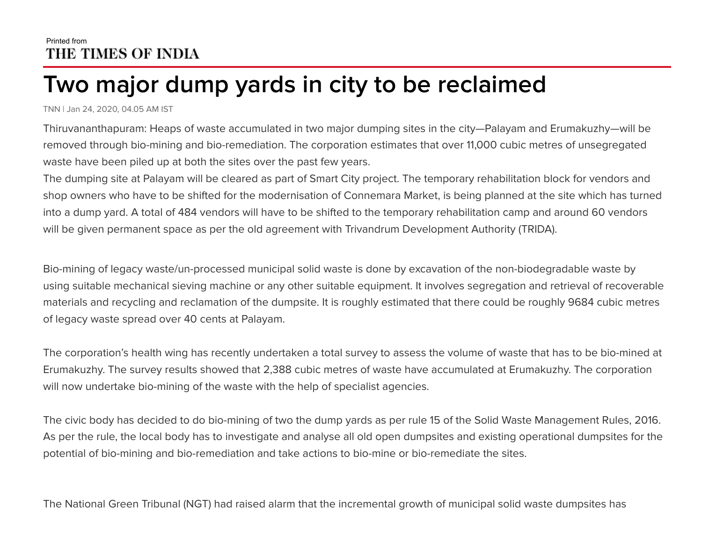## Printed from THE TIMES OF INDIA

## **Two major dump yards in city to be reclaimed**

TNN | Jan 24, 2020, 04.05 AM IST

Thiruvananthapuram: Heaps of waste accumulated in two major dumping sites in the city—Palayam and Erumakuzhy—will be removed through bio-mining and bio-remediation. The corporation estimates that over 11,000 cubic metres of unsegregated waste have been piled up at both the sites over the past few years.

The dumping site at Palayam will be cleared as part of Smart City project. The temporary rehabilitation block for vendors and shop owners who have to be shifted for the modernisation of Connemara Market, is being planned at the site which has turned into a dump yard. A total of 484 vendors will have to be shifted to the temporary rehabilitation camp and around 60 vendors will be given permanent space as per the old agreement with Trivandrum Development Authority (TRIDA).

Bio-mining of legacy waste/un-processed municipal solid waste is done by excavation of the non-biodegradable waste by using suitable mechanical sieving machine or any other suitable equipment. It involves segregation and retrieval of recoverable materials and recycling and reclamation of the dumpsite. It is roughly estimated that there could be roughly 9684 cubic metres of legacy waste spread over 40 cents at Palayam.

The corporation's health wing has recently undertaken a total survey to assess the volume of waste that has to be bio-mined at Erumakuzhy. The survey results showed that 2,388 cubic metres of waste have accumulated at Erumakuzhy. The corporation will now undertake bio-mining of the waste with the help of specialist agencies.

The civic body has decided to do bio-mining of two the dump yards as per rule 15 of the Solid Waste Management Rules, 2016. As per the rule, the local body has to investigate and analyse all old open dumpsites and existing operational dumpsites for the potential of bio-mining and bio-remediation and take actions to bio-mine or bio-remediate the sites.

The National Green Tribunal (NGT) had raised alarm that the incremental growth of municipal solid waste dumpsites has